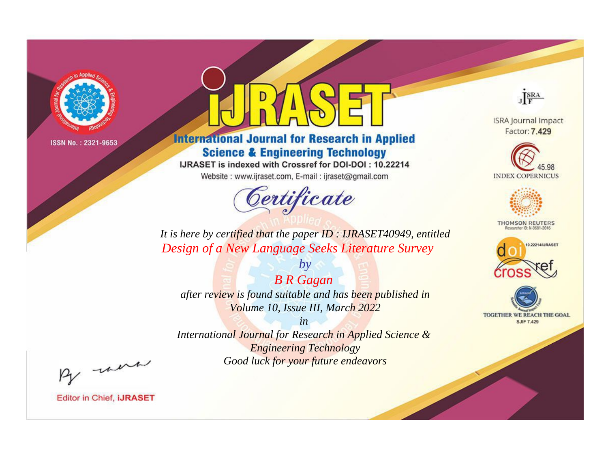

# **International Journal for Research in Applied Science & Engineering Technology**

IJRASET is indexed with Crossref for DOI-DOI: 10.22214

Website: www.ijraset.com, E-mail: ijraset@gmail.com



JERA

**ISRA Journal Impact** Factor: 7.429





**THOMSON REUTERS** 



TOGETHER WE REACH THE GOAL **SJIF 7.429** 

*It is here by certified that the paper ID : IJRASET40949, entitled Design of a New Language Seeks Literature Survey*

*B R Gagan after review is found suitable and has been published in Volume 10, Issue III, March 2022*

*by*

*in* 

*International Journal for Research in Applied Science & Engineering Technology Good luck for your future endeavors*

By morn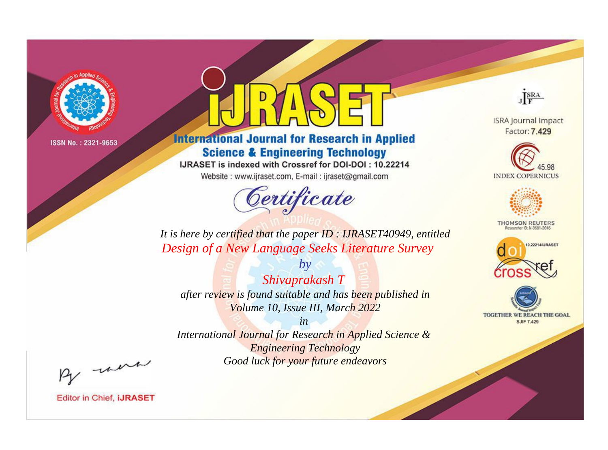

# **International Journal for Research in Applied Science & Engineering Technology**

IJRASET is indexed with Crossref for DOI-DOI: 10.22214

Website: www.ijraset.com, E-mail: ijraset@gmail.com



JERA

**ISRA Journal Impact** Factor: 7.429





**THOMSON REUTERS** 



TOGETHER WE REACH THE GOAL **SJIF 7.429** 

It is here by certified that the paper ID : IJRASET40949, entitled Design of a New Language Seeks Literature Survey

 $b\nu$ Shivaprakash T after review is found suitable and has been published in Volume 10, Issue III, March 2022

 $in$ International Journal for Research in Applied Science & **Engineering Technology** Good luck for your future endeavors

By morn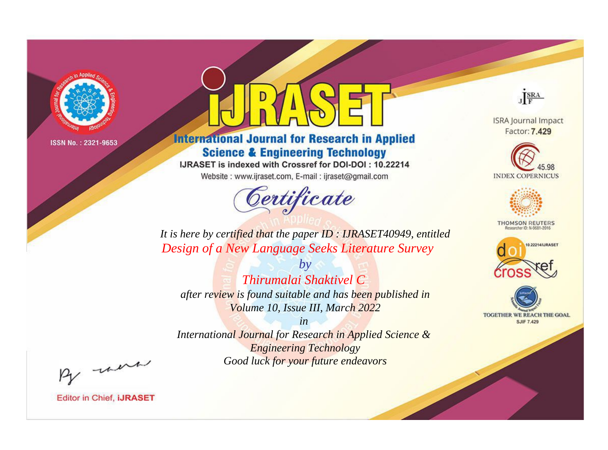

# **International Journal for Research in Applied Science & Engineering Technology**

IJRASET is indexed with Crossref for DOI-DOI: 10.22214

Website: www.ijraset.com, E-mail: ijraset@gmail.com



JERA

**ISRA Journal Impact** Factor: 7.429





**THOMSON REUTERS** 



TOGETHER WE REACH THE GOAL **SJIF 7.429** 

It is here by certified that the paper ID : IJRASET40949, entitled Design of a New Language Seeks Literature Survey

 $b\nu$ Thirumalai Shaktivel C after review is found suitable and has been published in Volume 10, Issue III, March 2022

 $in$ International Journal for Research in Applied Science & **Engineering Technology** Good luck for your future endeavors

By morn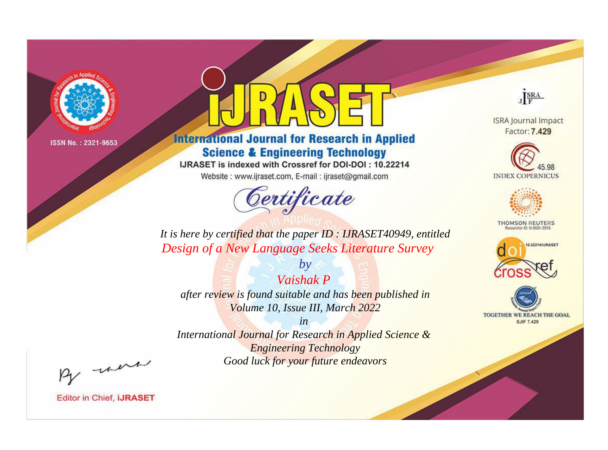

# **International Journal for Research in Applied Science & Engineering Technology**

IJRASET is indexed with Crossref for DOI-DOI: 10.22214

Website: www.ijraset.com, E-mail: ijraset@gmail.com



JERA

**ISRA Journal Impact** Factor: 7.429





**THOMSON REUTERS** 



TOGETHER WE REACH THE GOAL **SJIF 7.429** 

It is here by certified that the paper ID: IJRASET40949, entitled Design of a New Language Seeks Literature Survey

Vaishak P after review is found suitable and has been published in Volume 10, Issue III, March 2022

 $b\nu$ 

 $in$ International Journal for Research in Applied Science & **Engineering Technology** Good luck for your future endeavors

By morn